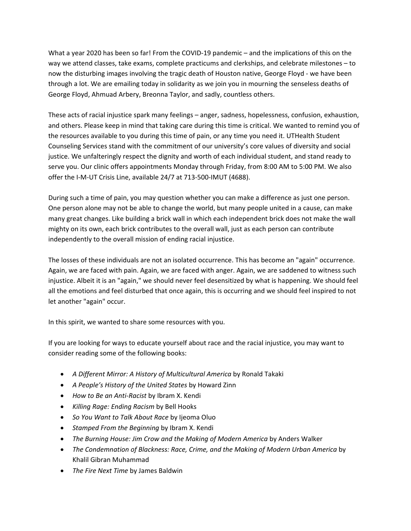What a year 2020 has been so far! From the COVID-19 pandemic – and the implications of this on the way we attend classes, take exams, complete practicums and clerkships, and celebrate milestones – to now the disturbing images involving the tragic death of Houston native, George Floyd ‐ we have been through a lot. We are emailing today in solidarity as we join you in mourning the senseless deaths of George Floyd, Ahmuad Arbery, Breonna Taylor, and sadly, countless others.

These acts of racial injustice spark many feelings – anger, sadness, hopelessness, confusion, exhaustion, and others. Please keep in mind that taking care during this time is critical. We wanted to remind you of the resources available to you during this time of pain, or any time you need it. UTHealth Student Counseling Services stand with the commitment of our university's core values of diversity and social justice. We unfalteringly respect the dignity and worth of each individual student, and stand ready to serve you. Our clinic offers appointments Monday through Friday, from 8:00 AM to 5:00 PM. We also offer the I‐M‐UT Crisis Line, available 24/7 at 713‐500‐IMUT (4688).

During such a time of pain, you may question whether you can make a difference as just one person. One person alone may not be able to change the world, but many people united in a cause, can make many great changes. Like building a brick wall in which each independent brick does not make the wall mighty on its own, each brick contributes to the overall wall, just as each person can contribute independently to the overall mission of ending racial injustice.

The losses of these individuals are not an isolated occurrence. This has become an "again" occurrence. Again, we are faced with pain. Again, we are faced with anger. Again, we are saddened to witness such injustice. Albeit it is an "again," we should never feel desensitized by what is happening. We should feel all the emotions and feel disturbed that once again, this is occurring and we should feel inspired to not let another "again" occur.

In this spirit, we wanted to share some resources with you.

If you are looking for ways to educate yourself about race and the racial injustice, you may want to consider reading some of the following books:

- *A Different Mirror: A History of Multicultural America* by Ronald Takaki
- *A People's History of the United States* by Howard Zinn
- *How to Be an Anti‐Racist* by Ibram X. Kendi
- *Killing Rage: Ending Racism* by Bell Hooks
- *So You Want to Talk About Race* by Ijeoma Oluo
- *Stamped From the Beginning* by Ibram X. Kendi
- *The Burning House: Jim Crow and the Making of Modern America* by Anders Walker
- *The Condemnation of Blackness: Race, Crime, and the Making of Modern Urban America* by Khalil Gibran Muhammad
- *The Fire Next Time* by James Baldwin